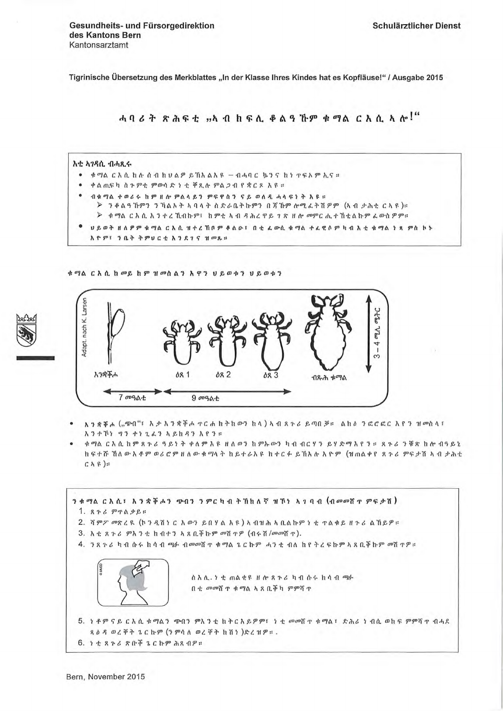Tigrinische Übersetzung des Merkblattes "In der Klasse Ihres Kindes hat es Kopfläuse!" / Ausgabe 2015

ሓባሪት ጽሕፍቲ "ኣብ ከፍሊ ቆልዓኾም ቁማል ርእሲ ኣሎ!"

## እቲ አገዳሲ ብሓጺሩ

- ቁማል ርእሲ ከሉ ሰብ ከሀልዎ ይኸአልአዩ − ብሓባር ኴንና ከነ ጥፍኦም ኢና።
- ቀልጢፍካ ስጉምቲ ምውሳድ ነቲ ቐጺሉ ምልጋብ የቋርጾ አዩ።
- ብቁማል ተወሪሩ ከም ዘሎ ምልላይን ምፍዋስን ናይ ወለዲ ሓላፍነት እዩ። > ንቆልዓኸምን ንኻልኦት ኣባላት ስድራቤትኩምን በጃኸም ሎሚፈትሽዎም (ኣብ ታሕቂ ርኣዩ)።
	- ⊁ ቁማል ርእሲ እንተረኺብኩም፣ ከምቲ ኣብ ዳሕረዋይ ገጽ ዘሎ መምርሒተኸቲልኩም ፌውስዎም።
- ህይወት ዘለዎም ቁማል ርእሲ ዝተረኸቦም ቆልው፣ በቲ ፌውሲ ቁማል ተፈዊሶም ካብ እቲ ቁማል ነጻ ምስ ኮኑ
- አዮም፣ ንቤት ትምህርቲ እንደገና ዝመጹ።

ቁማል ርእሲ ከመይ ከም ዝመለልን አዋን ህይወቱን ህይወቱን



- አንቋቐሖ ("ጭብ"፣ እታእንቋቐሖ ጥርሐ ከትከውን ከላ) ኣብ ጸጉሪ ይጣበቓ። ልክል ንፎሮፎር እየን ዝመስላ፣ አንተኾነ ማን ተነጊፈን ኣይከዳን እየን።
- ቁማል ርእሲ ከም ጻጉሪ ዓይነት ቀለም እዩ ዘለወን ከምኡውን ካብ ብርሃን ይሃድማ እየን። *ጻጉሪ ን*ቹጽ ከሎ ብዓይኒ ክፍተሹ ኸለ ውእቶም ወሪሮም ዘለው ቁማላት ከይተራእዩ ከተርፉ ይኽእሉ እዮም (ዝጠልቀየ ጸጉሪ ምፍታሽ ኣብ ታሕቂ  $C \hbar \beta$ ):